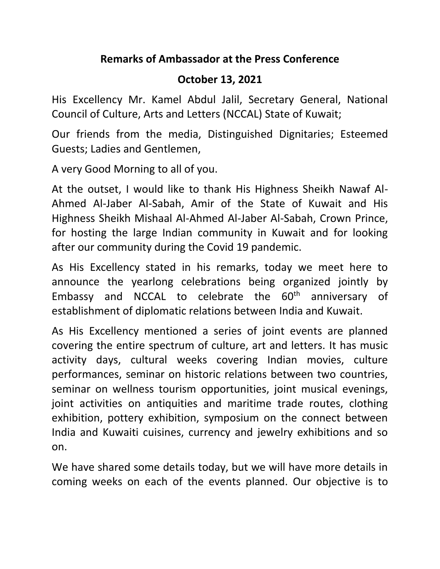## **Remarks of Ambassador at the Press Conference**

## **October 13, 2021**

His Excellency Mr. Kamel Abdul Jalil, Secretary General, National Council of Culture, Arts and Letters (NCCAL) State of Kuwait;

Our friends from the media, Distinguished Dignitaries; Esteemed Guests; Ladies and Gentlemen,

A very Good Morning to all of you.

At the outset, I would like to thank His Highness Sheikh Nawaf Al-Ahmed Al-Jaber Al-Sabah, Amir of the State of Kuwait and His Highness Sheikh Mishaal Al-Ahmed Al-Jaber Al-Sabah, Crown Prince, for hosting the large Indian community in Kuwait and for looking after our community during the Covid 19 pandemic.

As His Excellency stated in his remarks, today we meet here to announce the yearlong celebrations being organized jointly by Embassy and NCCAL to celebrate the  $60<sup>th</sup>$  anniversary of establishment of diplomatic relations between India and Kuwait.

As His Excellency mentioned a series of joint events are planned covering the entire spectrum of culture, art and letters. It has music activity days, cultural weeks covering Indian movies, culture performances, seminar on historic relations between two countries, seminar on wellness tourism opportunities, joint musical evenings, joint activities on antiquities and maritime trade routes, clothing exhibition, pottery exhibition, symposium on the connect between India and Kuwaiti cuisines, currency and jewelry exhibitions and so on.

We have shared some details today, but we will have more details in coming weeks on each of the events planned. Our objective is to